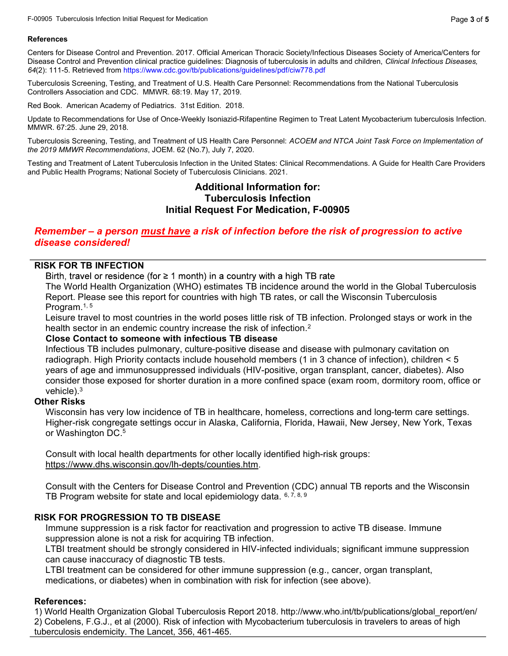### References

Centers for Disease Control and Prevention. 2017. Official American Thoracic Society/Infectious Diseases Society of America/Centers for Disease Control and Prevention clinical practice guidelines: Diagnosis of tuberculosis in adults and children, Clinical Infectious Diseases, 64(2): 111-5. Retrieved from https://www.cdc.gov/tb/publications/guidelines/pdf/ciw778.pdf

Tuberculosis Screening, Testing, and Treatment of U.S. Health Care Personnel: Recommendations from the National Tuberculosis Controllers Association and CDC. MMWR. 68:19. May 17, 2019.

Red Book. American Academy of Pediatrics. 31st Edition. 2018.

Update to Recommendations for Use of Once-Weekly Isoniazid-Rifapentine Regimen to Treat Latent Mycobacterium tuberculosis Infection. MMWR. 67:25. June 29, 2018.

Tuberculosis Screening, Testing, and Treatment of US Health Care Personnel: ACOEM and NTCA Joint Task Force on Implementation of the 2019 MMWR Recommendations, JOEM. 62 (No.7), July 7, 2020.

Testing and Treatment of Latent Tuberculosis Infection in the United States: Clinical Recommendations. A Guide for Health Care Providers and Public Health Programs; National Society of Tuberculosis Clinicians. 2021.

### Additional Information for: Tuberculosis Infection Initial Request For Medication, F-00905

# Remember – a person must have a risk of infection before the risk of progression to active disease considered!

# RISK FOR TB INFECTION

Birth, travel or residence (for  $\geq 1$  month) in a country with a high TB rate

The World Health Organization (WHO) estimates TB incidence around the world in the Global Tuberculosis Report. Please see this report for countries with high TB rates, or call the Wisconsin Tuberculosis Program.<sup>1, 5</sup>

Leisure travel to most countries in the world poses little risk of TB infection. Prolonged stays or work in the health sector in an endemic country increase the risk of infection.<sup>2</sup>

#### Close Contact to someone with infectious TB disease

Infectious TB includes pulmonary, culture-positive disease and disease with pulmonary cavitation on radiograph. High Priority contacts include household members (1 in 3 chance of infection), children < 5 years of age and immunosuppressed individuals (HIV-positive, organ transplant, cancer, diabetes). Also consider those exposed for shorter duration in a more confined space (exam room, dormitory room, office or vehicle $)$ .<sup>3</sup>

#### Other Risks

Wisconsin has very low incidence of TB in healthcare, homeless, corrections and long-term care settings. Higher-risk congregate settings occur in Alaska, California, Florida, Hawaii, New Jersey, New York, Texas or Washington DC. $^5\,$ 

Consult with local health departments for other locally identified high-risk groups: https://www.dhs.wisconsin.gov/lh-depts/counties.htm.

Consult with the Centers for Disease Control and Prevention (CDC) annual TB reports and the Wisconsin TB Program website for state and local epidemiology data.  $6, 7, 8, 9$ 

### RISK FOR PROGRESSION TO TB DISEASE

Immune suppression is a risk factor for reactivation and progression to active TB disease. Immune suppression alone is not a risk for acquiring TB infection.

LTBI treatment should be strongly considered in HIV-infected individuals; significant immune suppression can cause inaccuracy of diagnostic TB tests.

LTBI treatment can be considered for other immune suppression (e.g., cancer, organ transplant, medications, or diabetes) when in combination with risk for infection (see above).

### References:

1) World Health Organization Global Tuberculosis Report 2018. http://www.who.int/tb/publications/global\_report/en/ 2) Cobelens, F.G.J., et al (2000). Risk of infection with Mycobacterium tuberculosis in travelers to areas of high tuberculosis endemicity. The Lancet, 356, 461-465.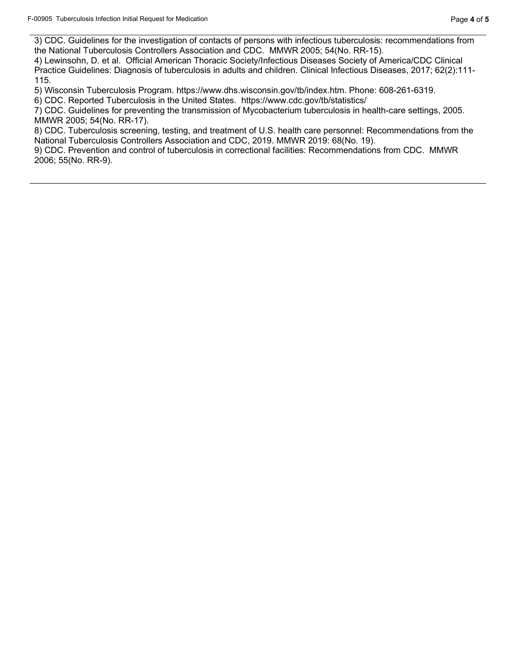3) CDC. Guidelines for the investigation of contacts of persons with infectious tuberculosis: recommendations from the National Tuberculosis Controllers Association and CDC. MMWR 2005; 54(No. RR-15).

4) Lewinsohn, D. et al. Official American Thoracic Society/Infectious Diseases Society of America/CDC Clinical Practice Guidelines: Diagnosis of tuberculosis in adults and children. Clinical Infectious Diseases, 2017; 62(2):111- 115.

5) Wisconsin Tuberculosis Program. https://www.dhs.wisconsin.gov/tb/index.htm. Phone: 608-261-6319.

6) CDC. Reported Tuberculosis in the United States. https://www.cdc.gov/tb/statistics/

7) CDC. Guidelines for preventing the transmission of Mycobacterium tuberculosis in health-care settings, 2005. MMWR 2005; 54(No. RR-17).

8) CDC. Tuberculosis screening, testing, and treatment of U.S. health care personnel: Recommendations from the National Tuberculosis Controllers Association and CDC, 2019. MMWR 2019: 68(No. 19).

9) CDC. Prevention and control of tuberculosis in correctional facilities: Recommendations from CDC. MMWR 2006; 55(No. RR-9).